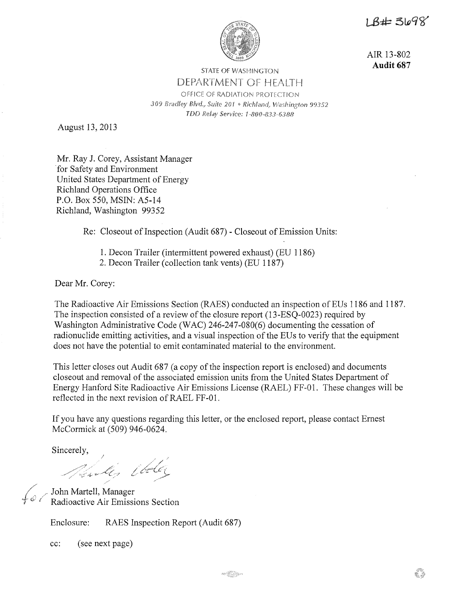1 B# 3698



AIR 13-802 **Audit 687** 

# STATE OF WASHINGTON DEPARTMENT OF HEALTH OFFICE OF RADIATION PROTECTION 309 Bradley Blvd., Suite 201 · Richland, Washington 99352 TDD Relay Service: 1-800-833-6388

August 13, 2013

Mr. Ray J. Corey, Assistant Manager for Safety and Environment United States Department of Energy Richland Operations Office P.O. Box 550, MSIN: A5-14 Richland, Washington 99352

Re: Closeout of Inspection (Audit 687) - Closeout of Emission Units:

- 1. Decon Trailer (intermittent powered exhaust) (EU 1186)
- 2. Decon Trailer ( collection tank vents) (EU 1187)

Dear Mr. Corey:

The Radioactive Air Emissions Section (RAES) conducted an inspection of EUs 1186 and 1187. The inspection consisted of a review of the closure report ( 13-ESQ-0023) required by Washington Administrative Code (WAC) 246-247-080(6) documenting the cessation of radionuclide emitting activities, and a visual inspection of the EUs to verify that the equipment does not have the potential to emit contaminated material to the environment.

This letter closes out Audit 687 (a copy of the inspection report is enclosed) and documents closeout and removal of the associated emission units from the United States Department of Energy Hanford Site Radioactive Air Emissions License (RAEL) FF-01. These changes will be reflected in the next revision of RAEL FF-01.

If you have any questions regarding this letter, or the enclosed report, please contact Ernest McCormick at (509) 946-0624.

Sincerely,

/

Mintes Cola

John Martell, Manager<br>Radioactive Air Emissions Section

Enclosure: RAES Inspection Report (Audit 687)

cc: (see next page)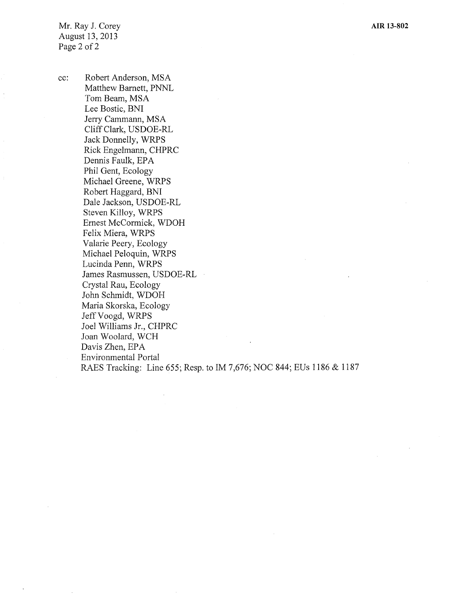Mr. Ray J. Corey August 13, 2013 Page 2 of 2

cc: Robert Anderson, MSA Matthew Barnett, PNNL Tom Beam, MSA Lee Bostic, BNI Jerry Cammann, MSA Cliff Clark, USDOE-RL Jack Donnelly, WRPS Rick Engelmann, CHPRC Dennis Faulk, EPA Phil Gent, Ecology Michael Greene, WRPS Robert Haggard, BNI Dale Jackson, USDOE-RL Steven Killoy, WRPS Ernest McCormick, WDOH Felix Miera, WRPS Valarie Peery, Ecology Michael Peloquin, WRPS Lucinda Penn, WRPS James Rasmussen, USDOE-RL Crystal Rau, Ecology John Schmidt, WDOH Maria Skorska, Ecology Jeff Voogd, WRPS Joel Williams Jr., CHPRC Joan Woolard, WCH Davis Zhen, EPA Environmental Portal RAES Tracking: Line 655; Resp. to IM 7,676; NOC 844; EUs 1186 & 1187